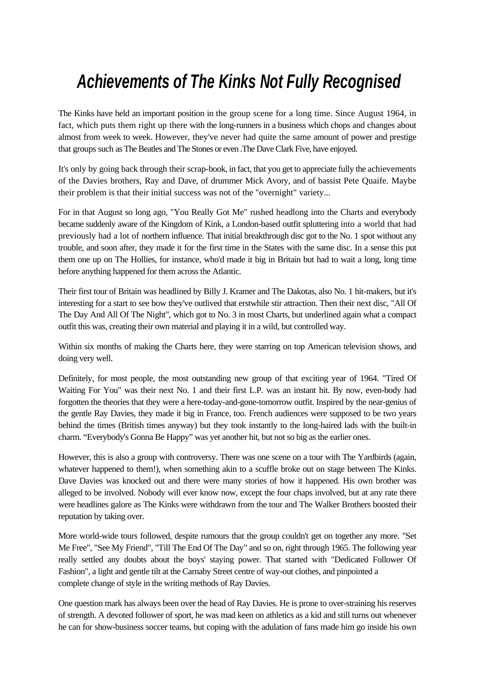## *Achievements of The Kinks Not Fully Recognised*

The Kinks have held an important position in the group scene for a long time. Since August 1964, in fact, which puts them right up there with the long-runners in a business which chops and changes about almost from week to week. However, they've never had quite the same amount of power and prestige that groups such as The Beatles and The Stones or even .The Dave Clark Five, have enjoyed.

It's only by going back through their scrap-book, in fact, that you get to appreciate fully the achievements of the Davies brothers, Ray and Dave, of drummer Mick Avory, and of bassist Pete Quaife. Maybe their problem is that their initial success was not of the "overnight" variety...

For in that August so long ago, "You Really Got Me" rushed headlong into the Charts and everybody became suddenly aware of the Kingdom of Kink, a London-based outfit spluttering into a world that had previously had a lot of northern influence. That initial breakthrough disc got to the No. 1 spot without any trouble, and soon after, they made it for the first time in the States with the same disc. In a sense this put them one up on The Hollies, for instance, who'd made it big in Britain but had to wait a long, long time before anything happened for them across the Atlantic.

Their first tour of Britain was headlined by Billy J. Kramer and The Dakotas, also No. 1 hit-makers, but it's interesting for a start to see bow they've outlived that erstwhile stir attraction. Then their next disc, "All Of The Day And All Of The Night", which got to No. 3 in most Charts, but underlined again what a compact outfit this was, creating their own material and playing it in a wild, but controlled way.

Within six months of making the Charts here, they were starring on top American television shows, and doing very well.

Definitely, for most people, the most outstanding new group of that exciting year of 1964. "Tired Of Waiting For You" was their next No. 1 and their first L.P. was an instant hit. By now, even-body had forgotten the theories that they were a here-today-and-gone-tomorrow outfit. Inspired by the near-genius of the gentle Ray Davies, they made it big in France, too. French audiences were supposed to be two years behind the times (British times anyway) but they took instantly to the long-haired lads with the built-in charm. "Everybody's Gonna Be Happy" was yet another hit, but not so big as the earlier ones.

However, this is also a group with controversy. There was one scene on a tour with The Yardbirds (again, whatever happened to them!), when something akin to a scuffle broke out on stage between The Kinks. Dave Davies was knocked out and there were many stories of how it happened. His own brother was alleged to be involved. Nobody will ever know now, except the four chaps involved, but at any rate there were headlines galore as The Kinks were withdrawn from the tour and The Walker Brothers boosted their reputation by taking over.

More world-wide tours followed, despite rumours that the group couldn't get on together any more. "Set Me Free", "See My Friend", "Till The End Of The Day" and so on, right through 1965. The following year really settled any doubts about the boys' staying power. That started with "Dedicated Follower Of Fashion", a light and gentle tilt at the Carnaby Street centre of way-out clothes, and pinpointed a complete change of style in the writing methods of Ray Davies.

One question mark has always been over the head of Ray Davies. He is prone to over-straining his reserves of strength. A devoted follower of sport, he was mad keen on athletics as a kid and still turns out whenever he can for show-business soccer teams, but coping with the adulation of fans made him go inside his own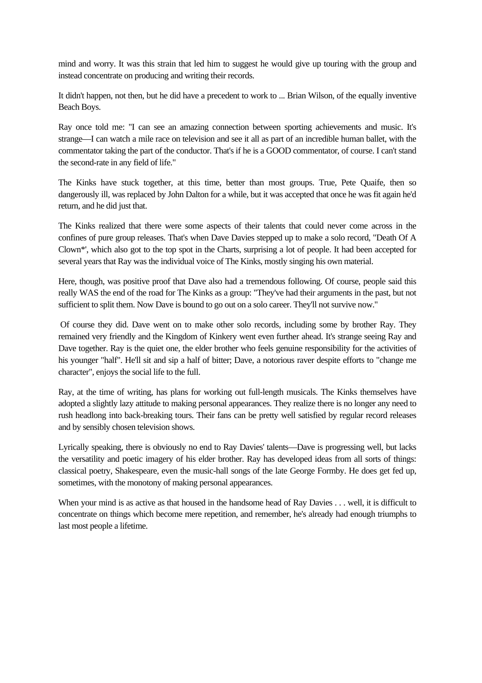mind and worry. It was this strain that led him to suggest he would give up touring with the group and instead concentrate on producing and writing their records.

It didn't happen, not then, but he did have a precedent to work to ... Brian Wilson, of the equally inventive Beach Boys.

Ray once told me: "I can see an amazing connection between sporting achievements and music. It's strange—I can watch a mile race on television and see it all as part of an incredible human ballet, with the commentator taking the part of the conductor. That's if he is a GOOD commentator, of course. I can't stand the second-rate in any field of life."

The Kinks have stuck together, at this time, better than most groups. True, Pete Quaife, then so dangerously ill, was replaced by John Dalton for a while, but it was accepted that once he was fit again he'd return, and he did just that.

The Kinks realized that there were some aspects of their talents that could never come across in the confines of pure group releases. That's when Dave Davies stepped up to make a solo record, "Death Of A Clown\*', which also got to the top spot in the Charts, surprising a lot of people. It had been accepted for several years that Ray was the individual voice of The Kinks, mostly singing his own material.

Here, though, was positive proof that Dave also had a tremendous following. Of course, people said this really WAS the end of the road for The Kinks as a group: "They've had their arguments in the past, but not sufficient to split them. Now Dave is bound to go out on a solo career. They'll not survive now."

 Of course they did. Dave went on to make other solo records, including some by brother Ray. They remained very friendly and the Kingdom of Kinkery went even further ahead. It's strange seeing Ray and Dave together. Ray is the quiet one, the elder brother who feels genuine responsibility for the activities of his younger "half". He'll sit and sip a half of bitter; Dave, a notorious raver despite efforts to "change me character", enjoys the social life to the full.

Ray, at the time of writing, has plans for working out full-length musicals. The Kinks themselves have adopted a slightly lazy attitude to making personal appearances. They realize there is no longer any need to rush headlong into back-breaking tours. Their fans can be pretty well satisfied by regular record releases and by sensibly chosen television shows.

Lyrically speaking, there is obviously no end to Ray Davies' talents—Dave is progressing well, but lacks the versatility and poetic imagery of his elder brother. Ray has developed ideas from all sorts of things: classical poetry, Shakespeare, even the music-hall songs of the late George Formby. He does get fed up, sometimes, with the monotony of making personal appearances.

When your mind is as active as that housed in the handsome head of Ray Davies . . . well, it is difficult to concentrate on things which become mere repetition, and remember, he's already had enough triumphs to last most people a lifetime.